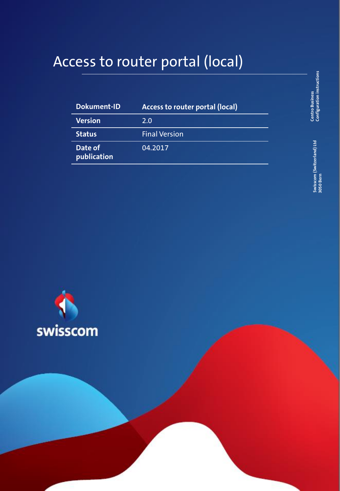# Access to router portal (local)

| <b>Dokument-ID</b>     | Access to router portal (local) |  |
|------------------------|---------------------------------|--|
| <b>Version</b>         | 2.0                             |  |
| <b>Status</b>          | <b>Final Version</b>            |  |
| Date of<br>publication | 04.2017                         |  |



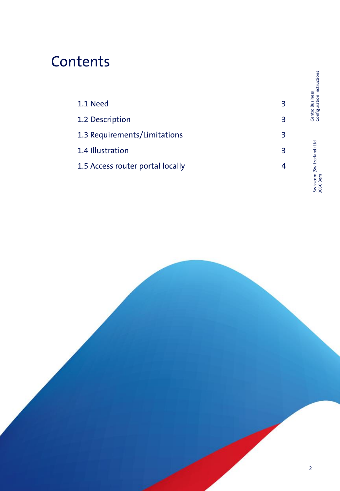# **Contents**

|                                  |   | Centro Business<br>Configuration instructions |
|----------------------------------|---|-----------------------------------------------|
| 1.1 Need                         | 3 |                                               |
| 1.2 Description                  | З |                                               |
| 1.3 Requirements/Limitations     | 3 |                                               |
| 1.4 Illustration                 | 3 |                                               |
| 1.5 Access router portal locally | 4 | om (Switzerland) Ltd<br>n<br>arn              |

Swisscom (Switzerland) Ltd 3050 Bern

Swisscom (Switzerland) Ltd<br>3050 Bern

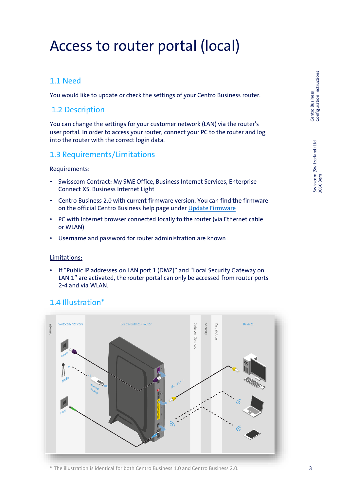# Access to router portal (local)

# 1.1 Need

You would like to update or check the settings of your Centro Business router.

# 1.2 Description

You can change the settings for your customer network (LAN) via the router's user portal. In order to access your router, connect your PC to the router and log into the router with the correct login data.

# 1.3 Requirements/Limitations

### Requirements:

- Swisscom Contract: My SME Office, Business Internet Services, Enterprise Connect XS, Business Internet Light
- Centro Business 2.0 with current firmware version. You can find the firmware on the official Centro Business help page under [Update Firmware](http://www.swisscom.ch/centrobusiness2-fw)
- PC with Internet browser connected locally to the router (via Ethernet cable or WLAN)
- Username and password for router administration are known

### Limitations:

• If "Public IP addresses on LAN port 1 (DMZ)" and "Local Security Gateway on LAN 1" are activated, the router portal can only be accessed from router ports 2-4 and via WLAN.

# 1.4 Illustration\*